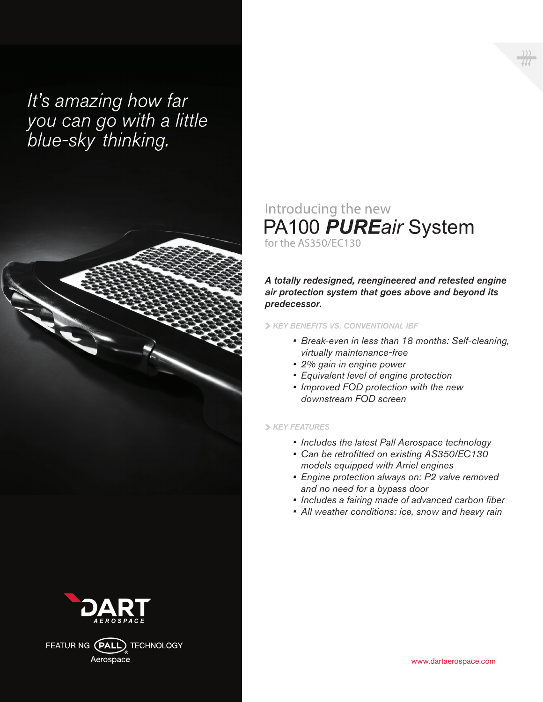# It's amazing how far you can go with a little<br>blue-sky thinking.



FEATURING (PALL) TECHNOLOGY Aerospace

### Introducing the new PA100 PUREair System for the AS350/EC130

#### *A totally redesigned, reengineered and retested engine air protection system that goes above and beyond its predecessor.*

#### *KEY BENEFITS VS. CONVENTIONAL IBF*

- *• Break-even in less than 18 months: Self-cleaning, virtually maintenance-free*
- *• 2% gain in engine power*
- *• Equivalent level of engine protection*
- *• Improved FOD protection with the new downstream FOD screen*

#### *KEY FEATURES*

- *• Includes the latest Pall Aerospace technology*
- *• Can be retrofitted on existing AS350/EC130 models equipped with Arriel engines*
- *• Engine protection always on: P2 valve removed and no need for a bypass door*
- *• Includes a fairing made of advanced carbon fiber*
- *• All weather conditions: ice, snow and heavy rain*